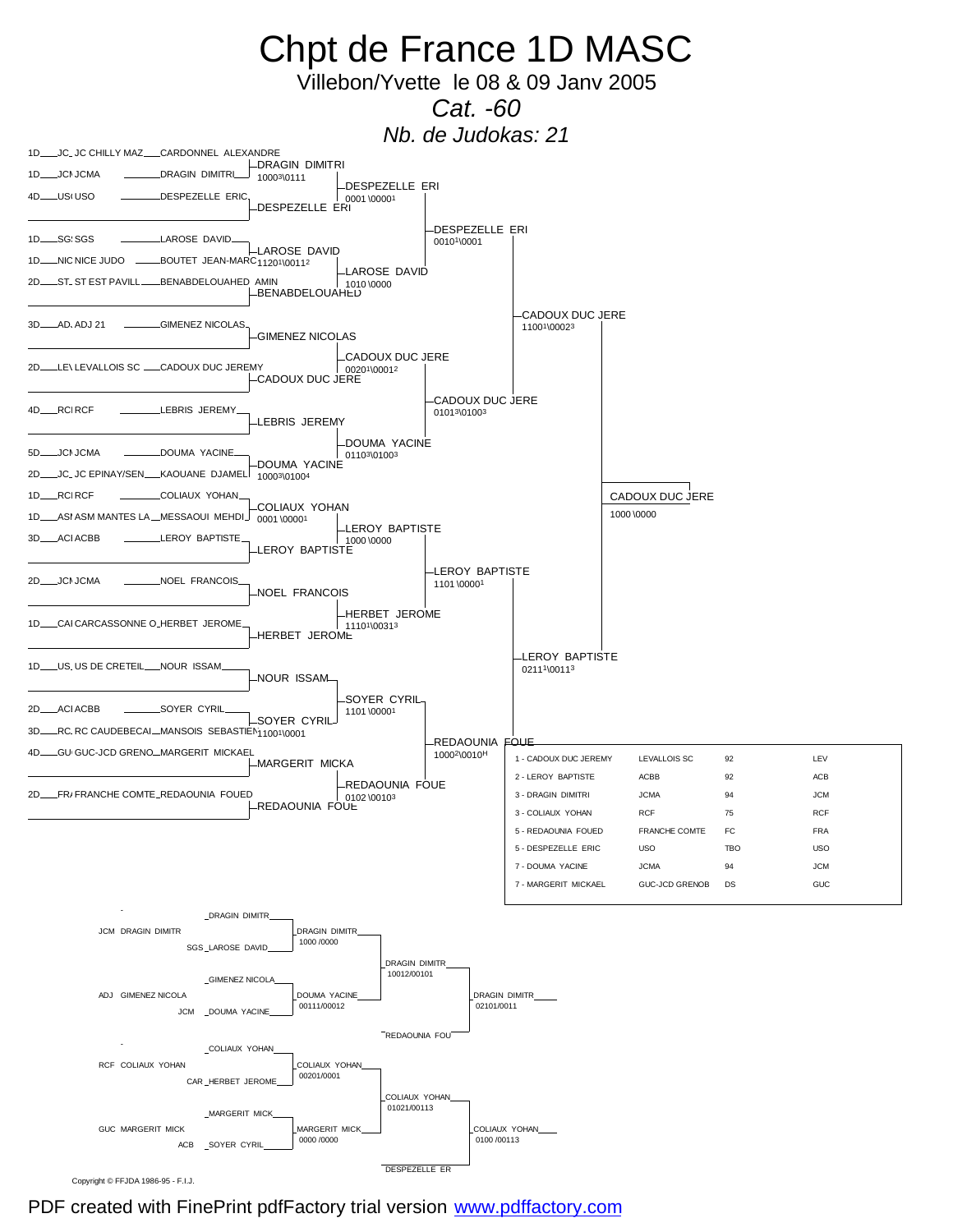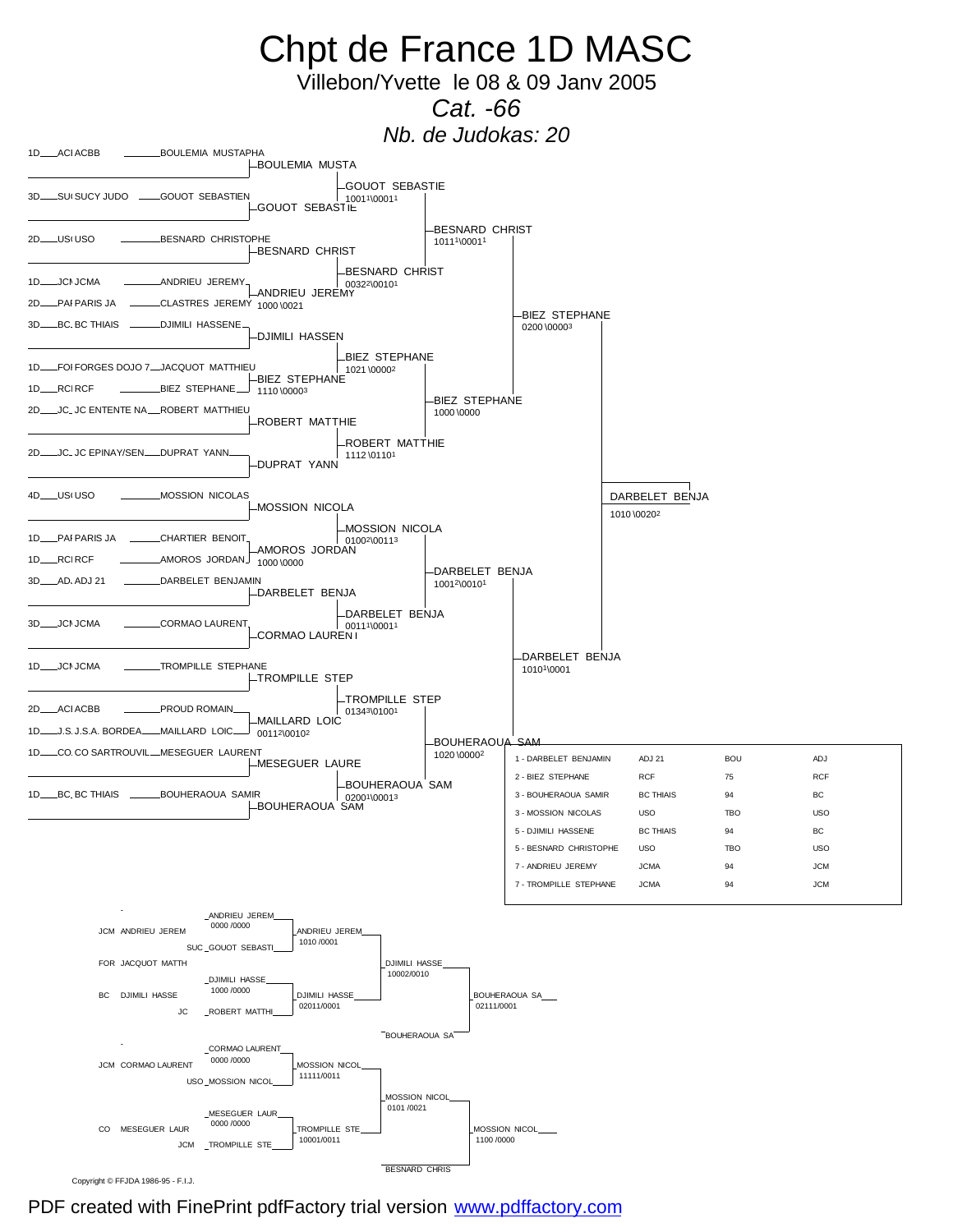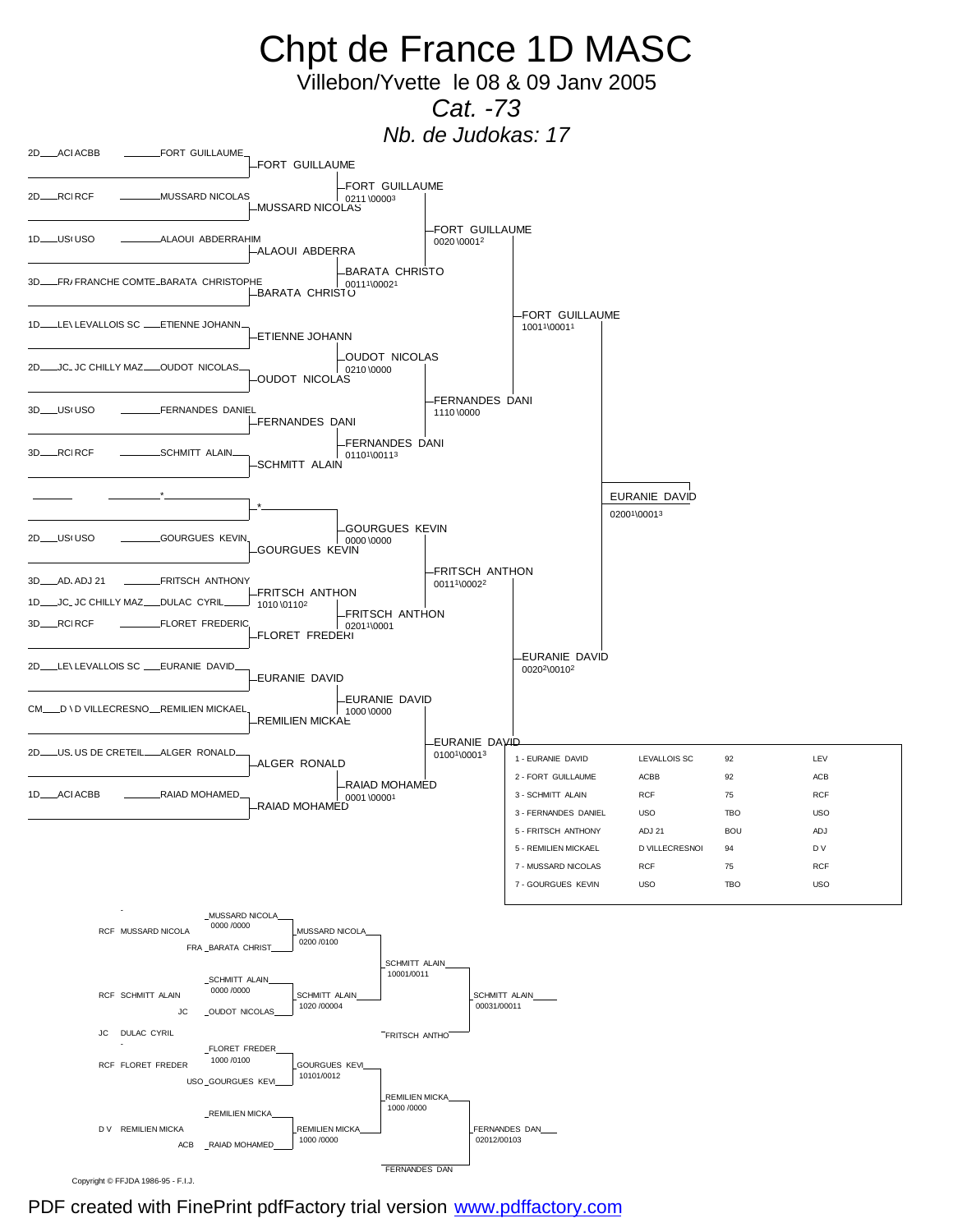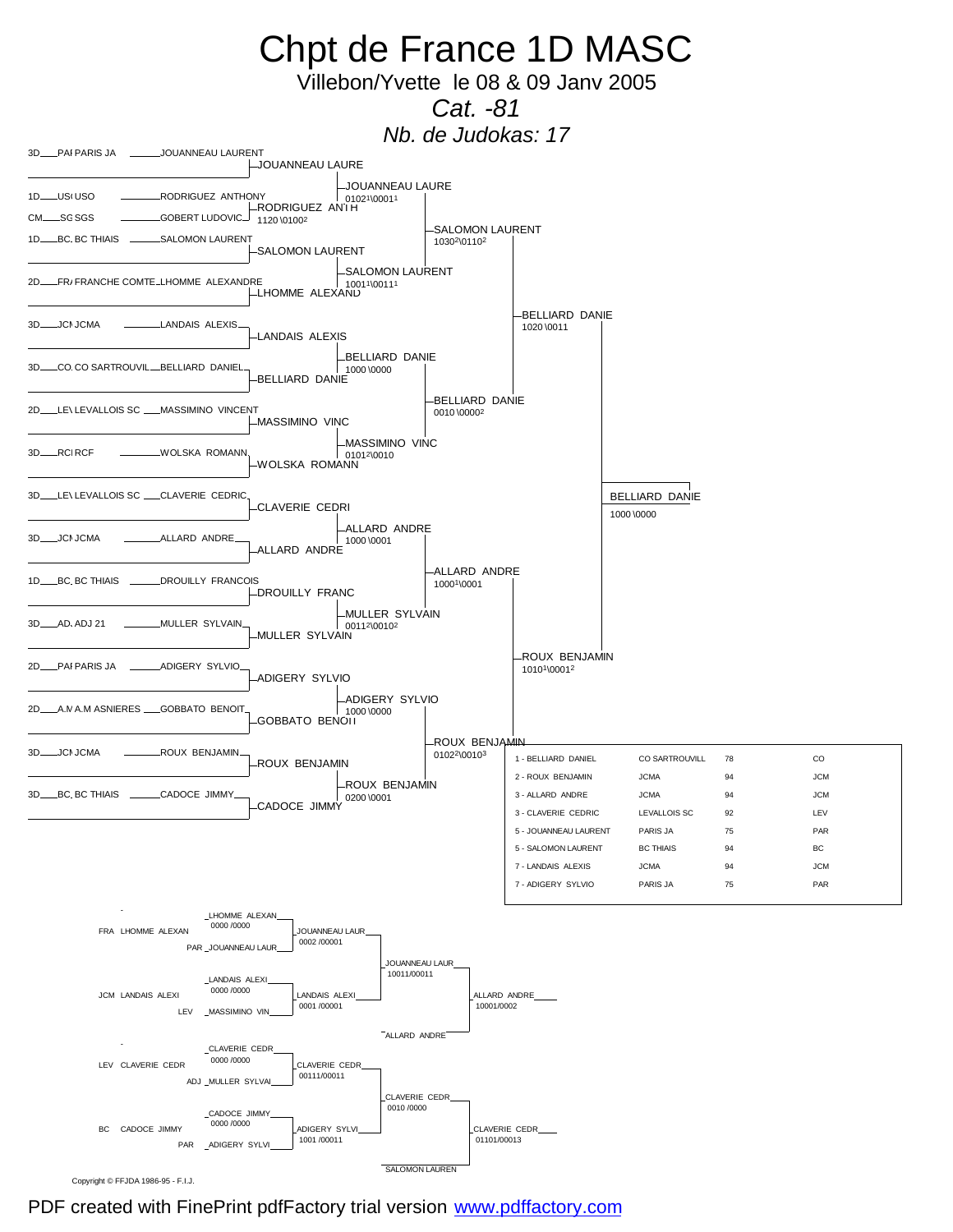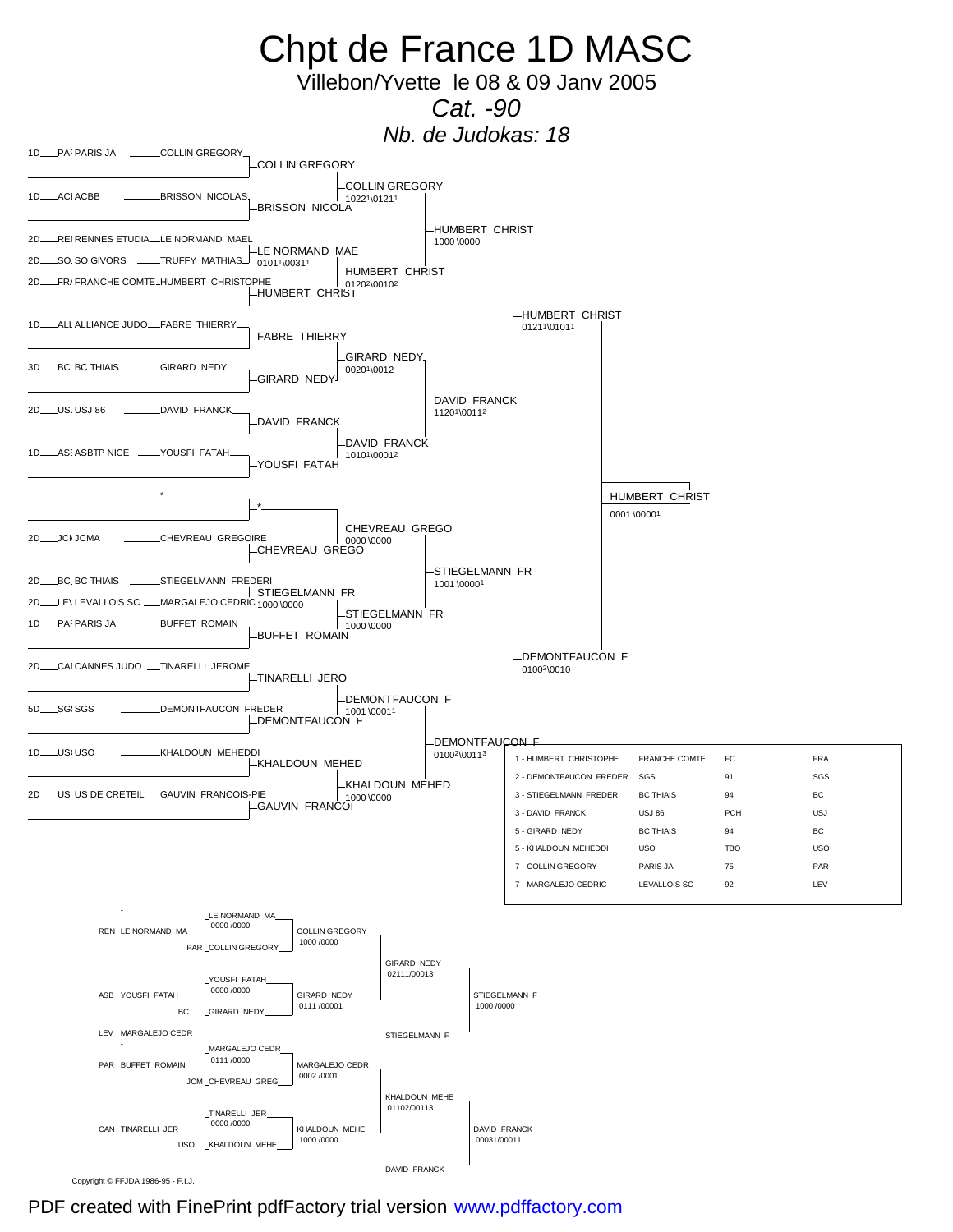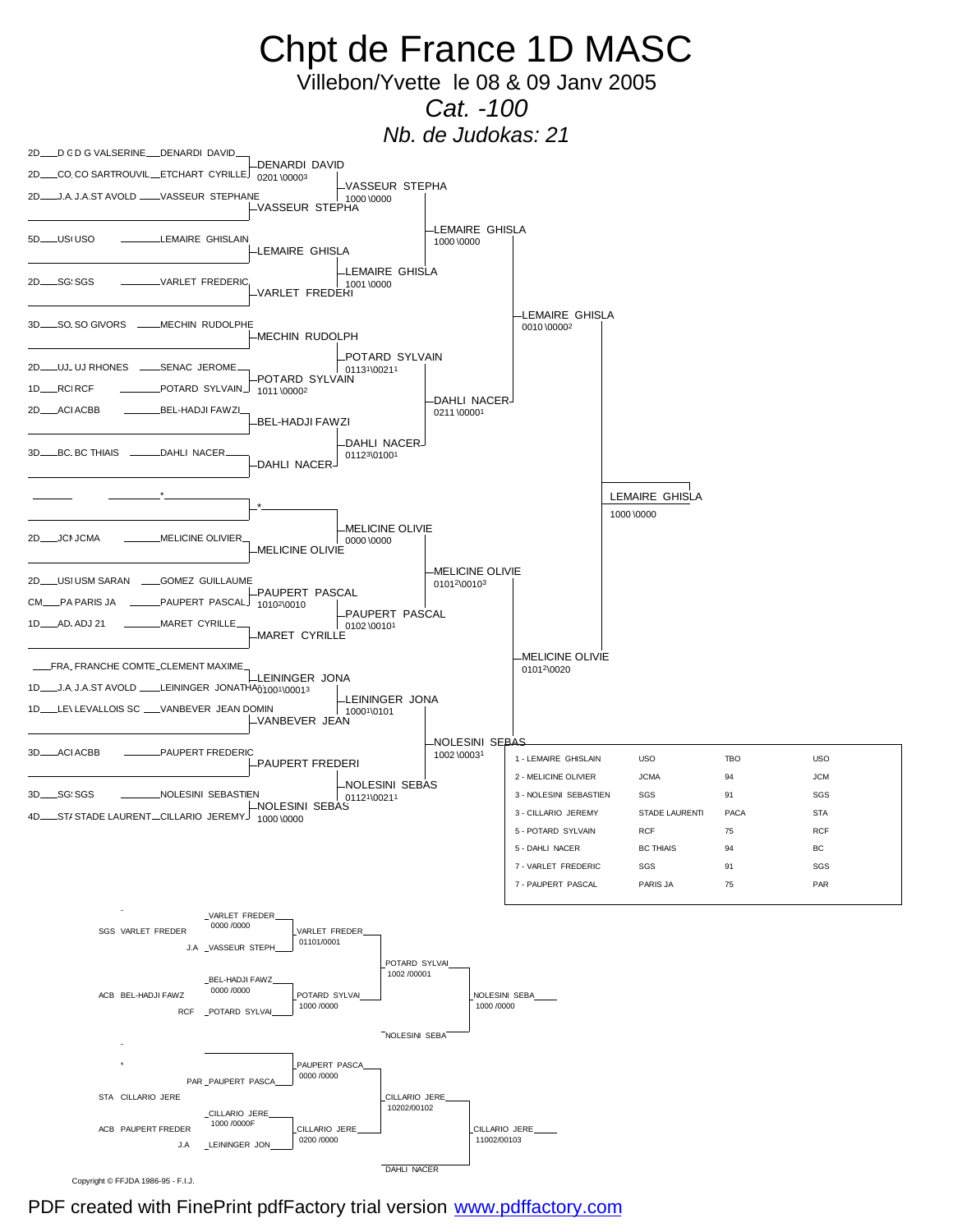